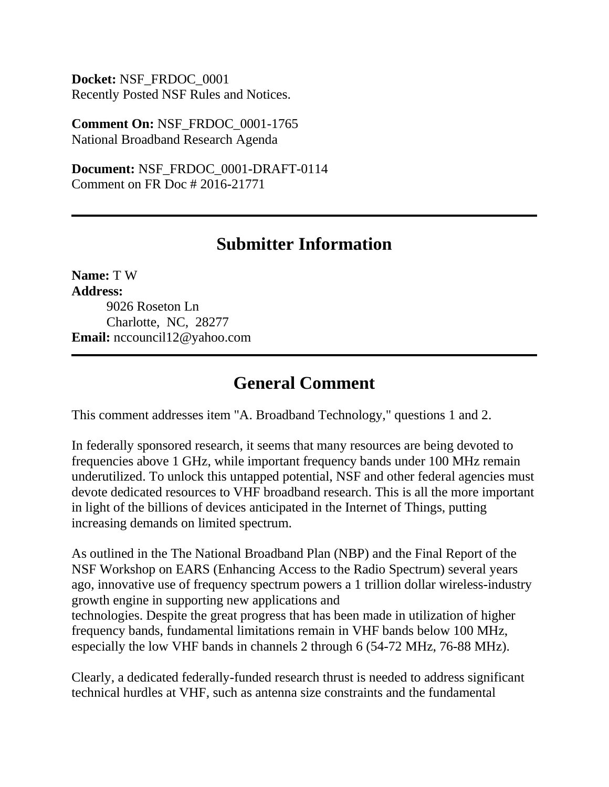**Docket:** NSF\_FRDOC\_0001 Recently Posted NSF Rules and Notices.

**Comment On:** NSF\_FRDOC\_0001-1765 National Broadband Research Agenda

**Document:** NSF\_FRDOC\_0001-DRAFT-0114 Comment on FR Doc # 2016-21771

## **Submitter Information**

**Name:** T W **Address:** 9026 Roseton Ln Charlotte, NC, 28277 **Email:** nccouncil12@yahoo.com

## **General Comment**

This comment addresses item "A. Broadband Technology," questions 1 and 2.

In federally sponsored research, it seems that many resources are being devoted to frequencies above 1 GHz, while important frequency bands under 100 MHz remain underutilized. To unlock this untapped potential, NSF and other federal agencies must devote dedicated resources to VHF broadband research. This is all the more important in light of the billions of devices anticipated in the Internet of Things, putting increasing demands on limited spectrum.

As outlined in the The National Broadband Plan (NBP) and the Final Report of the NSF Workshop on EARS (Enhancing Access to the Radio Spectrum) several years ago, innovative use of frequency spectrum powers a 1 trillion dollar wireless-industry growth engine in supporting new applications and technologies. Despite the great progress that has been made in utilization of higher frequency bands, fundamental limitations remain in VHF bands below 100 MHz, especially the low VHF bands in channels 2 through 6 (54-72 MHz, 76-88 MHz).

Clearly, a dedicated federally-funded research thrust is needed to address significant technical hurdles at VHF, such as antenna size constraints and the fundamental